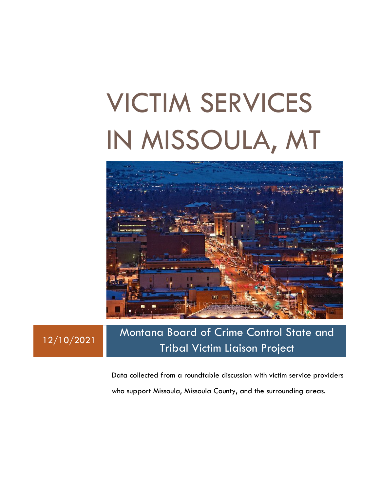# VICTIM SERVICES IN MISSOULA, MT



12/10/2021 Montana Board of Crime Control State and Tribal Victim Liaison Project

> Data collected from a roundtable discussion with victim service providers who support Missoula, Missoula County, and the surrounding areas.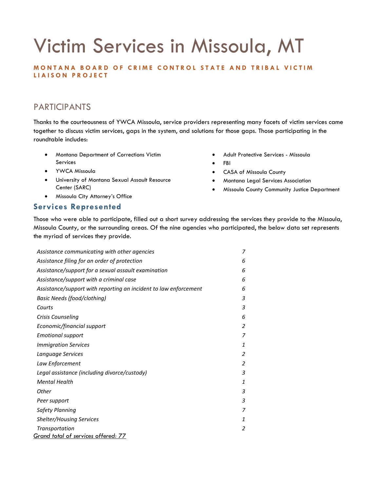## Victim Services in Missoula, MT

#### **MONTANA BOARD OF CRIME CONTROL STATE AND TRIBAL VICTIM LIAISON PROJEC T**

### PARTICIPANTS

Thanks to the courteousness of YWCA Missoula, service providers representing many facets of victim services came together to discuss victim services, gaps in the system, and solutions for those gaps. Those participating in the roundtable includes:

- Montana Department of Corrections Victim Services
- YWCA Missoula
- University of Montana Sexual Assault Resource Center (SARC)
- Missoula City Attorney's Office

#### **Services Represented**

- Adult Protective Services Missoula
- FBI
- CASA of Missoula County
- Montana Legal Services Association
- Missoula County Community Justice Department

Those who were able to participate, filled out a short survey addressing the services they provide to the Missoula, Missoula County, or the surrounding areas. Of the nine agencies who participated, the below data set represents the myriad of services they provide.

| Assistance communicating with other agencies                     | 7              |
|------------------------------------------------------------------|----------------|
| Assistance filing for an order of protection                     | 6              |
| Assistance/support for a sexual assault examination              | 6              |
| Assistance/support with a criminal case                          | 6              |
| Assistance/support with reporting an incident to law enforcement | 6              |
| <b>Basic Needs (food/clothing)</b>                               | 3              |
| Courts                                                           | 3              |
| Crisis Counseling                                                | 6              |
| Economic/financial support                                       | $\overline{2}$ |
| <b>Emotional support</b>                                         | 7              |
| <b>Immigration Services</b>                                      | 1              |
| Language Services                                                | 2              |
| Law Enforcement                                                  | $\overline{2}$ |
| Legal assistance (including divorce/custody)                     | 3              |
| <b>Mental Health</b>                                             | 1              |
| Other                                                            | 3              |
| Peer support                                                     | 3              |
| Safety Planning                                                  | 7              |
| Shelter/Housing Services                                         | 1              |
| Transportation                                                   | 2              |
| <u> Grand total of services offered: 77</u>                      |                |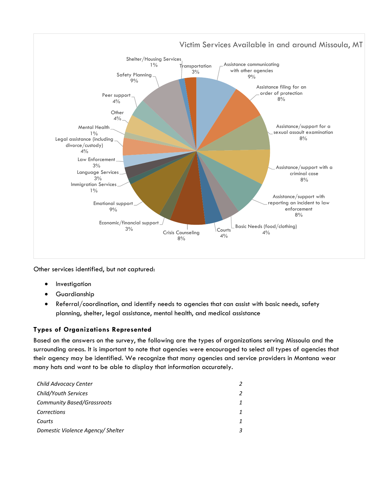

Other services identified, but not captured:

- **Investigation**
- **Guardianship**
- Referral/coordination, and identify needs to agencies that can assist with basic needs, safety planning, shelter, legal assistance, mental health, and medical assistance

#### **Types of Organizations Represented**

Based on the answers on the survey, the following are the types of organizations serving Missoula and the surrounding areas. It is important to note that agencies were encouraged to select all types of agencies that their agency may be identified. We recognize that many agencies and service providers in Montana wear many hats and want to be able to display that information accurately.

| Child Advocacy Center             | 2 |
|-----------------------------------|---|
| Child/Youth Services              | 2 |
| <b>Community Based/Grassroots</b> | 1 |
| Corrections                       | 1 |
| Courts                            | 1 |
| Domestic Violence Agency/ Shelter | 3 |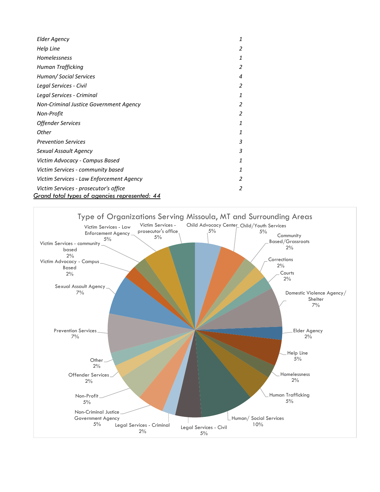| Elder Agency                                          | 1              |
|-------------------------------------------------------|----------------|
| Help Line                                             | 2              |
| Homelessness                                          | 1              |
| Human Trafficking                                     | $\overline{2}$ |
| Human/Social Services                                 | 4              |
| Legal Services - Civil                                | 2              |
| Legal Services - Criminal                             | 1              |
| Non-Criminal Justice Government Agency                | 2              |
| Non-Profit                                            | 2              |
| <b>Offender Services</b>                              | 1              |
| Other                                                 | 1              |
| <b>Prevention Services</b>                            | 3              |
| Sexual Assault Agency                                 | 3              |
| Victim Advocacy - Campus Based                        | 1              |
| Victim Services - community based                     | 1              |
| Victim Services - Law Enforcement Agency              | 2              |
| Victim Services - prosecutor's office                 | 2              |
| <u> Grand total types of agencies represented: 44</u> |                |

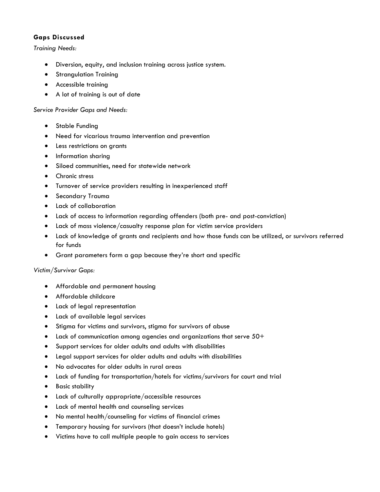#### **Gaps Discussed**

#### *Training Needs:*

- Diversion, equity, and inclusion training across justice system.
- Strangulation Training
- Accessible training
- A lot of training is out of date

#### *Service Provider Gaps and Needs:*

- Stable Funding
- Need for vicarious trauma intervention and prevention
- Less restrictions on grants
- Information sharing
- Siloed communities, need for statewide network
- Chronic stress
- Turnover of service providers resulting in inexperienced staff
- Secondary Trauma
- Lack of collaboration
- Lack of access to information regarding offenders (both pre- and post-conviction)
- Lack of mass violence/casualty response plan for victim service providers
- Lack of knowledge of grants and recipients and how those funds can be utilized, or survivors referred for funds
- Grant parameters form a gap because they're short and specific

#### *Victim/Survivor Gaps:*

- Affordable and permanent housing
- Affordable childcare
- Lack of legal representation
- Lack of available legal services
- Stigma for victims and survivors, stigma for survivors of abuse
- Lack of communication among agencies and organizations that serve 50+
- Support services for older adults and adults with disabilities
- Legal support services for older adults and adults with disabilities
- No advocates for older adults in rural areas
- Lack of funding for transportation/hotels for victims/survivors for court and trial
- Basic stability
- Lack of culturally appropriate/accessible resources
- Lack of mental health and counseling services
- No mental health/counseling for victims of financial crimes
- Temporary housing for survivors (that doesn't include hotels)
- Victims have to call multiple people to gain access to services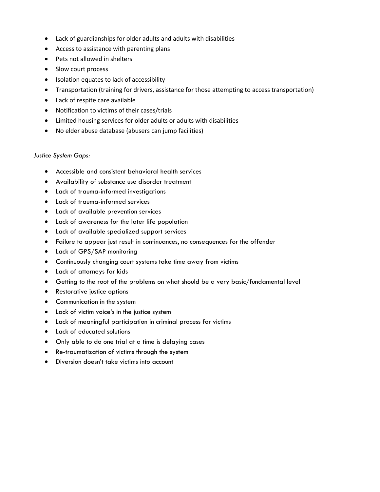- Lack of guardianships for older adults and adults with disabilities
- Access to assistance with parenting plans
- Pets not allowed in shelters
- Slow court process
- Isolation equates to lack of accessibility
- Transportation (training for drivers, assistance for those attempting to access transportation)
- Lack of respite care available
- Notification to victims of their cases/trials
- Limited housing services for older adults or adults with disabilities
- No elder abuse database (abusers can jump facilities)

#### *Justice System Gaps:*

- Accessible and consistent behavioral health services
- Availability of substance use disorder treatment
- Lack of trauma-informed investigations
- Lack of trauma-informed services
- Lack of available prevention services
- Lack of awareness for the later life population
- Lack of available specialized support services
- Failure to appear just result in continuances, no consequences for the offender
- Lack of GPS/SAP monitoring
- Continuously changing court systems take time away from victims
- Lack of attorneys for kids
- Getting to the root of the problems on what should be a very basic/fundamental level
- Restorative justice options
- Communication in the system
- Lack of victim voice's in the justice system
- Lack of meaningful participation in criminal process for victims
- Lack of educated solutions
- Only able to do one trial at a time is delaying cases
- Re-traumatization of victims through the system
- Diversion doesn't take victims into account